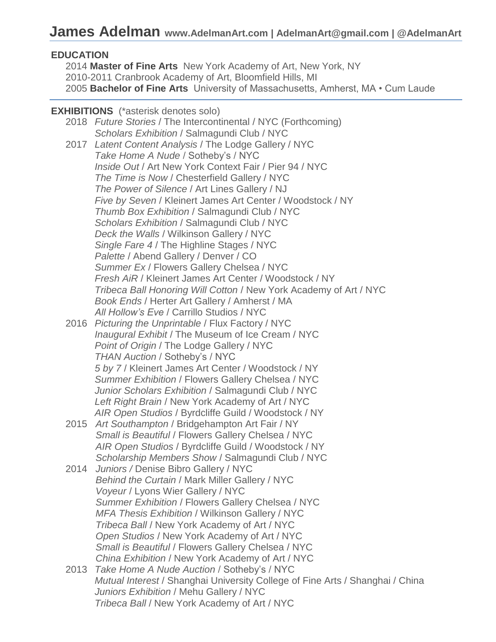## **EDUCATION**

2014 **Master of Fine Arts** New York Academy of Art, New York, NY 2010-2011 Cranbrook Academy of Art, Bloomfield Hills, MI 2005 **Bachelor of Fine Arts** University of Massachusetts, Amherst, MA • Cum Laude

### **EXHIBITIONS** (\*asterisk denotes solo)

2018 *Future Stories* / The Intercontinental / NYC (Forthcoming) *Scholars Exhibition* / Salmagundi Club / NYC 2017 *Latent Content Analysis* / The Lodge Gallery / NYC *Take Home A Nude* / Sotheby's / NYC *Inside Out* / Art New York Context Fair / Pier 94 / NYC *The Time is Now* / Chesterfield Gallery / NYC *The Power of Silence* / Art Lines Gallery / NJ *Five by Seven* / Kleinert James Art Center / Woodstock / NY *Thumb Box Exhibition* / Salmagundi Club / NYC *Scholars Exhibition* / Salmagundi Club / NYC *Deck the Walls* / Wilkinson Gallery / NYC *Single Fare 4* / The Highline Stages / NYC *Palette* / Abend Gallery / Denver / CO *Summer Ex* / Flowers Gallery Chelsea / NYC *Fresh AiR* / Kleinert James Art Center / Woodstock / NY *Tribeca Ball Honoring Will Cotton* / New York Academy of Art / NYC *Book Ends* / Herter Art Gallery / Amherst / MA *All Hollow's Eve* / Carrillo Studios / NYC

- 2016 *Picturing the Unprintable* / Flux Factory / NYC *Inaugural Exhibit* / The Museum of Ice Cream / NYC *Point of Origin* / The Lodge Gallery / NYC *THAN Auction* / Sotheby's / NYC *5 by 7* / Kleinert James Art Center / Woodstock / NY *Summer Exhibition* / Flowers Gallery Chelsea / NYC *Junior Scholars Exhibition* / Salmagundi Club / NYC *Left Right Brain* / New York Academy of Art / NYC *AIR Open Studios* / Byrdcliffe Guild / Woodstock / NY
- 2015 *Art Southampton* / Bridgehampton Art Fair / NY *Small is Beautiful* / Flowers Gallery Chelsea / NYC  *AIR Open Studios* / Byrdcliffe Guild / Woodstock / NY  *Scholarship Members Show* / Salmagundi Club / NYC
- 2014 *Juniors /* Denise Bibro Gallery / NYC *Behind the Curtain* / Mark Miller Gallery / NYC *Voyeur* / Lyons Wier Gallery / NYC *Summer Exhibition* / Flowers Gallery Chelsea / NYC *MFA Thesis Exhibition* / Wilkinson Gallery / NYC *Tribeca Ball* / New York Academy of Art / NYC *Open Studios* / New York Academy of Art / NYC  *Small is Beautiful* / Flowers Gallery Chelsea / NYC  *China Exhibition* / New York Academy of Art / NYC
- 2013 *Take Home A Nude Auction* / Sotheby's / NYC *Mutual Interest* / Shanghai University College of Fine Arts / Shanghai / China *Juniors Exhibition* / Mehu Gallery / NYC *Tribeca Ball* / New York Academy of Art / NYC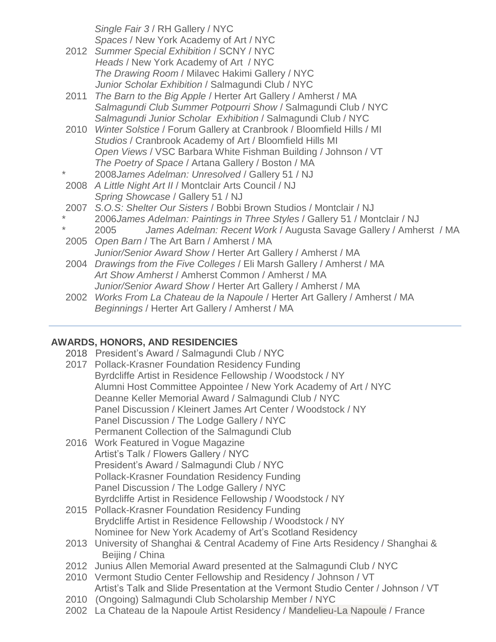*Single Fair 3* / RH Gallery / NYC  *Spaces* / New York Academy of Art / NYC

- 2012 *Summer Special Exhibition* / SCNY / NYC *Heads* / New York Academy of Art / NYC *The Drawing Room* / Milavec Hakimi Gallery / NYC *Junior Scholar Exhibition* / Salmagundi Club / NYC
- 2011 *The Barn to the Big Apple* / Herter Art Gallery / Amherst / MA *Salmagundi Club Summer Potpourri Show* / Salmagundi Club / NYC *Salmagundi Junior Scholar Exhibition* / Salmagundi Club / NYC
- 2010 *Winter Solstice* / Forum Gallery at Cranbrook / Bloomfield Hills / MI *Studios* / Cranbrook Academy of Art / Bloomfield Hills MI *Open Views* / VSC Barbara White Fishman Building / Johnson / VT *The Poetry of Space* / Artana Gallery / Boston / MA \* 2008*James Adelman: Unresolved* / Gallery 51 / NJ
- 2008 *A Little Night Art II* / Montclair Arts Council / NJ *Spring Showcase* / Gallery 51 / NJ
- 2007 *S.O.S: Shelter Our Sisters* / Bobbi Brown Studios / Montclair / NJ
- \* 2006*James Adelman: Paintings in Three Styles* / Gallery 51 / Montclair / NJ
- \* 2005 *James Adelman: Recent Work* / Augusta Savage Gallery / Amherst / MA
- 2005 *Open Barn* / The Art Barn / Amherst / MA *Junior/Senior Award Show* / Herter Art Gallery / Amherst / MA 2004 *Drawings from the Five Colleges* / Eli Marsh Gallery / Amherst / MA *Art Show Amherst* / Amherst Common / Amherst / MA *Junior/Senior Award Show* / Herter Art Gallery / Amherst / MA
- 2002 *Works From La Chateau de la Napoule* / Herter Art Gallery / Amherst / MA *Beginnings* / Herter Art Gallery / Amherst / MA

# **AWARDS, HONORS, AND RESIDENCIES**

- 2018 President's Award / Salmagundi Club / NYC
- 2017 Pollack-Krasner Foundation Residency Funding Byrdcliffe Artist in Residence Fellowship / Woodstock / NY Alumni Host Committee Appointee / New York Academy of Art / NYC Deanne Keller Memorial Award / Salmagundi Club / NYC Panel Discussion / Kleinert James Art Center / Woodstock / NY Panel Discussion / The Lodge Gallery / NYC Permanent Collection of the Salmagundi Club
- 2016 Work Featured in Vogue Magazine Artist's Talk / Flowers Gallery / NYC President's Award / Salmagundi Club / NYC Pollack-Krasner Foundation Residency Funding Panel Discussion / The Lodge Gallery / NYC Byrdcliffe Artist in Residence Fellowship / Woodstock / NY
- 2015 Pollack-Krasner Foundation Residency Funding Brydcliffe Artist in Residence Fellowship / Woodstock / NY Nominee for New York Academy of Art's Scotland Residency
- 2013 University of Shanghai & Central Academy of Fine Arts Residency / Shanghai & Beijing / China
- 2012 Junius Allen Memorial Award presented at the Salmagundi Club / NYC
- 2010 Vermont Studio Center Fellowship and Residency / Johnson / VT Artist's Talk and Slide Presentation at the Vermont Studio Center / Johnson / VT
- 2010 (Ongoing) Salmagundi Club Scholarship Member / NYC
- 2002 La Chateau de la Napoule Artist Residency / Mandelieu-La Napoule / France